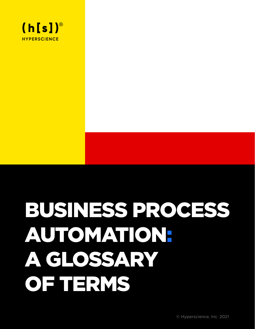

# BUSINESS PROCESS AUTOMATION: A GLOSSARY OF TERMS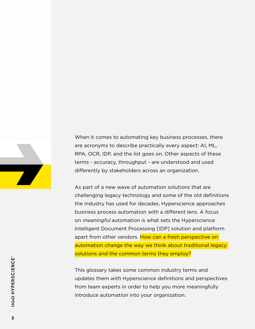

When it comes to automating key business processes, there are acronyms to describe practically every aspect: AI, ML, RPA, OCR, IDP, and the list goes on. Other aspects of these terms - accuracy, throughput - are understood and used differently by stakeholders across an organization.

As part of a new wave of automation solutions that are challenging legacy technology and some of the old definitions the industry has used for decades, Hyperscience approaches business process automation with a different lens. A focus on *meaningful* automation is what sets the Hyperscience Intelligent Document Processing [IDP] solution and platform apart from other vendors. How can a fresh perspective on automation change the way we think about traditional legacy solutions and the common terms they employ?

This glossary takes some common industry terms and updates them with Hyperscience definitions and perspectives from team experts in order to help you more meaningfully introduce automation into your organization.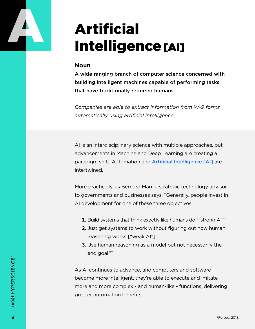

# Artificial Intelligence[AI]

### **Noun**

A wide ranging branch of computer science concerned with building intelligent machines capable of performing tasks that have traditionally required humans.

*Companies are able to extract information from W-9 forms automatically using artificial intelligence.*

AI is an interdisciplinary science with multiple approaches, but advancements in Machine and Deep Learning are creating a paradigm shift. Automation and [Artificial Intelligence \[AI\]](https://hyperscience.com/blog/ai-confidential/?utm_campaign=en-202009-webcontent-automation-glossary&utm_medium=pdf&utm_source=webcontent&utm_content=ai_confidential&utm_term=) are intertwined.

More practically, as Bernard Marr, a strategic technology advisor to governments and businesses says, "Generally, people invest in AI development for one of these three objectives:

- 1. Build systems that think exactly like humans do ["strong AI"]
- 2. Just get systems to work without figuring out how human reasoning works ["weak AI"]
- 3. Use human reasoning as a model but not necessarily the end goal."2

As AI continues to advance, and computers and software become more intelligent, they're able to execute and imitate more and more complex - and human-like - functions, delivering greater automation benefits.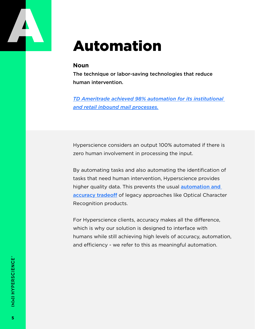

### Automation

### **Noun**

The technique or labor-saving technologies that reduce human intervention.

*[TD Ameritrade achieved 98% automation for its institutional](https://hyperscience.com/customers/tdameritrade-further-client-experience/?utm_campaign=en-202009-webcontent-automation-glossary&utm_medium=pdf&utm_source=webcontent&utm_content=TDA&utm_term=)  [and retail inbound mail processes.](https://hyperscience.com/customers/tdameritrade-further-client-experience/?utm_campaign=en-202009-webcontent-automation-glossary&utm_medium=pdf&utm_source=webcontent&utm_content=TDA&utm_term=)*

Hyperscience considers an output 100% automated if there is zero human involvement in processing the input.

By automating tasks and also automating the identification of tasks that need human intervention, Hyperscience provides higher quality data. This prevents the usual **automation and** [accuracy tradeoff](https://hyperscience.com/blog/dont-choose-between-automation-and-accuracy/?utm_campaign=en-202009-webcontent-automation-glossary&utm_medium=pdf&utm_source=webcontent&utm_content=accuracy_tradoff&utm_term=) of legacy approaches like Optical Character Recognition products.

For Hyperscience clients, accuracy makes all the difference, which is why our solution is designed to interface with humans while still achieving high levels of accuracy, automation, and efficiency - we refer to this as meaningful automation.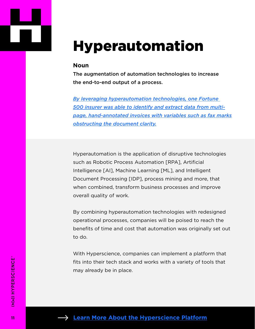

### Hyperautomation

#### **Noun**

The augmentation of automation technologies to increase the end-to-end output of a process.

*[By leveraging hyperautomation technologies, one Fortune](https://hyperscience.com/customers/insurance-curtail-invoice-processing-times/?utm_campaign=en-202009-webcontent-automation-glossary&utm_medium=pdf&utm_source=webcontent&utm_content=curtail_invoice&utm_term=)  [500 insurer was able to identify and extract data from multi](https://hyperscience.com/customers/insurance-curtail-invoice-processing-times/?utm_campaign=en-202009-webcontent-automation-glossary&utm_medium=pdf&utm_source=webcontent&utm_content=curtail_invoice&utm_term=)[page, hand-annotated invoices with variables such as fax marks](https://hyperscience.com/customers/insurance-curtail-invoice-processing-times/?utm_campaign=en-202009-webcontent-automation-glossary&utm_medium=pdf&utm_source=webcontent&utm_content=curtail_invoice&utm_term=)  [obstructing the document clarity.](https://hyperscience.com/customers/insurance-curtail-invoice-processing-times/?utm_campaign=en-202009-webcontent-automation-glossary&utm_medium=pdf&utm_source=webcontent&utm_content=curtail_invoice&utm_term=)*

Hyperautomation is the application of disruptive technologies such as Robotic Process Automation [RPA], Artificial Intelligence [AI], Machine Learning [ML], and Intelligent Document Processing [IDP], process mining and more, that when combined, transform business processes and improve overall quality of work.

By combining hyperautomation technologies with redesigned operational processes, companies will be poised to reach the benefits of time and cost that automation was originally set out to do.

With Hyperscience, companies can implement a platform that fits into their tech stack and works with a variety of tools that may already be in place.

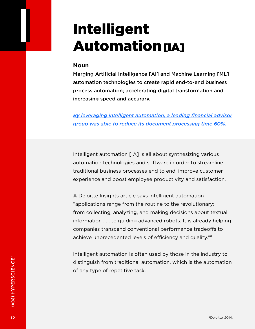## Intelligent **Automation**[IA]

### **Noun**

Merging Artificial Intelligence [AI] and Machine Learning [ML] automation technologies to create rapid end-to-end business process automation; accelerating digital transformation and increasing speed and accurary.

*[By leveraging intelligent automation, a leading financial advisor](https://hyperscience.com/customers/financial-advisor-group-leads-in-automation/?utm_campaign=en-202009-webcontent-automation-glossary&utm_medium=pdf&utm_source=webcontent&utm_content=financial_advisor_group&utm_term=)  [group was able to reduce its document processing time 60%.](https://hyperscience.com/customers/financial-advisor-group-leads-in-automation/?utm_campaign=en-202009-webcontent-automation-glossary&utm_medium=pdf&utm_source=webcontent&utm_content=financial_advisor_group&utm_term=)*

Intelligent automation [IA] is all about synthesizing various automation technologies and software in order to streamline traditional business processes end to end, improve customer experience and boost employee productivity and satisfaction.

A Deloitte Insights article says intelligent automation "applications range from the routine to the revolutionary: from collecting, analyzing, and making decisions about textual information . . . to guiding advanced robots. It is already helping companies transcend conventional performance tradeoffs to achieve unprecedented levels of efficiency and quality."6

Intelligent automation is often used by those in the industry to distinguish from traditional automation, which is the automation of any type of repetitive task.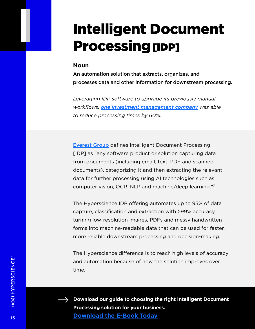### Intelligent Document Processing [IDP]

#### **Noun**

An automation solution that extracts, organizes, and processes data and other information for downstream processing.

*Leveraging IDP software to upgrade its previously manual workflows, [one investment management company](https://hyperscience.com/customers/financial-advisor-group-leads-in-automation/?utm_campaign=en-202009-webcontent-automation-glossary&utm_medium=pdf&utm_source=webcontent&utm_content=financial_advisor_group&utm_term=) was able to reduce processing times by 60%.*

[Everest Group](https://hyperscience.com/library/reports/everest-group-idp-peak-matrix-2020/?utm_campaign=en-202009-webcontent-automation-glossary&utm_medium=pdf&utm_source=webcontent&utm_content=IDP_matrix&utm_term=) defines Intelligent Document Processing [IDP] as "any software product or solution capturing data from documents (including email, text, PDF and scanned documents), categorizing it and then extracting the relevant data for further processing using AI technologies such as computer vision, OCR, NLP and machine/deep learning."7

The Hyperscience IDP offering automates up to 95% of data capture, classification and extraction with >99% accuracy, turning low-resolution images, PDFs and messy handwritten forms into machine-readable data that can be used for faster, more reliable downstream processing and decision-making.

The Hyperscience difference is to reach high levels of accuracy and automation because of how the solution improves over time.



**Download our guide to choosing the right Intelligent Document Processing solution for your business. [Download the E-Book Today](https://hyperscience.com/library/guides/how-to-choose-an-idp-solution/?utm_campaign=en-202009-webcontent-automation-glossary&utm_medium=pdf&utm_source=webcontent&utm_content=IDP_guide&utm_term=)**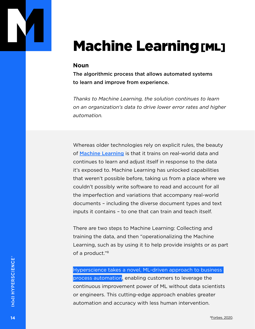

# **Machine Learning [ML]**

### **Noun**

The algorithmic process that allows automated systems to learn and improve from experience.

*Thanks to Machine Learning, the solution continues to learn on an organization's data to drive lower error rates and higher automation.*

Whereas older technologies rely on explicit rules, the beauty of [Machine Learning](https://hyperscience.com/library/e-books/new-science-of-process-automation/?utm_campaign=en-202009-webcontent-automation-glossary&utm_medium=pdf&utm_source=webcontent&utm_content=new_science&utm_term=) is that it trains on real-world data and continues to learn and adjust itself in response to the data it's exposed to. Machine Learning has unlocked capabilities that weren't possible before, taking us from a place where we couldn't possibly write software to read and account for all the imperfection and variations that accompany real-world documents – including the diverse document types and text inputs it contains – to one that can train and teach itself.

There are two steps to Machine Learning: Collecting and training the data, and then "operationalizing the Machine Learning, such as by using it to help provide insights or as part of a product."8

Hyperscience takes a novel, ML-driven approach to business process automation, enabling customers to leverage the continuous improvement power of ML without data scientists or engineers. This cutting-edge approach enables greater automation and accuracy with less human intervention.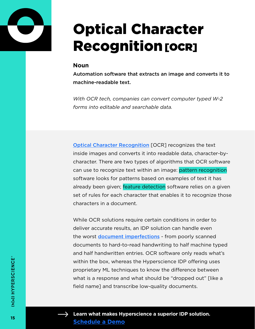

# Optical Character **Recognition [OCR]**

### **Noun**

Automation software that extracts an image and converts it to machine-readable text.

*With OCR tech, companies can convert computer typed W-2 forms into editable and searchable data.*

[Optical Character Recognition](https://hyperscience.com/blog/acronyms-explained-idp-vs-ocr/?utm_campaign=en-202009-webcontent-automation-glossary&utm_medium=pdf&utm_source=webcontent) [OCR] recognizes the text inside images and converts it into readable data, character-bycharacter. There are two types of algorithms that OCR software can use to recognize text within an image: pattern recognition software looks for patterns based on examples of text it has already been given; feature detection software relies on a given set of rules for each character that enables it to recognize those characters in a document.

While OCR solutions require certain conditions in order to deliver accurate results, an IDP solution can handle even the worst **[document imperfections](https://hyperscience.com/blog/top-document-imperfections-back-offices-hate-to-see/?utm_campaign=en-202009-webcontent-automation-glossary&utm_medium=pdf&utm_source=webcontent&utm_content=document_imperfections&utm_term=)** - from poorly scanned documents to hard-to-read handwriting to half machine typed and half handwritten entries. OCR software only reads what's within the box, whereas the Hyperscience IDP offering uses proprietary ML techniques to know the difference between what is a response and what should be "dropped out" [like a field name] and transcribe low-quality documents.



**Learn what makes Hyperscience a superior IDP solution. [Schedule a Demo](https://hyperscience.com/contact/?utm_campaign=en-202009-webcontent-automation-glossary&utm_medium=pdf&utm_source=webcontent&utm_content=contact&utm_term=)**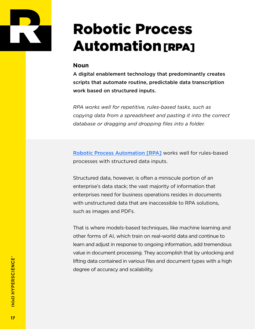

# Robotic Process **Automation [RPA]**

### **Noun**

A digital enablement technology that predominantly creates scripts that automate routine, predictable data transcription work based on structured inputs.

*RPA works well for repetitive, rules-based tasks, such as copying data from a spreadsheet and pasting it into the correct database or dragging and dropping files into a folder.*

[Robotic Process Automation \[RPA\]](https://hyperscience.com/what-is-rpa/?utm_campaign=en-202009-webcontent-automation-glossary&utm_medium=pdf&utm_source=webcontent&utm_content=RPA_LP&utm_term=) works well for rules-based processes with structured data inputs.

Structured data, however, is often a miniscule portion of an enterprise's data stack; the vast majority of information that enterprises need for business operations resides in documents with unstructured data that are inaccessible to RPA solutions, such as images and PDFs.

That is where models-based techniques, like machine learning and other forms of AI, which train on real-world data and continue to learn and adjust in response to ongoing information, add tremendous value in document processing. They accomplish that by unlocking and lifting data contained in various files and document types with a high degree of accuracy and scalability.